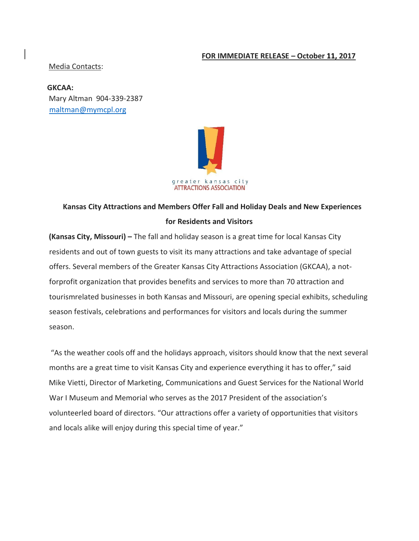## **FOR IMMEDIATE RELEASE – October 11, 2017**

#### Media Contacts:

**GKCAA:**  Mary Altman 904-339-2387 maltman@mymcpl.org



# **Kansas City Attractions and Members Offer Fall and Holiday Deals and New Experiences for Residents and Visitors**

**(Kansas City, Missouri)** – The fall and holiday season is a great time for local Kansas City residents and out of town guests to visit its many attractions and take advantage of special offers. Several members of the Greater Kansas City Attractions Association (GKCAA), a notforprofit organization that provides benefits and services to more than 70 attraction and tourismrelated businesses in both Kansas and Missouri, are opening special exhibits, scheduling season festivals, celebrations and performances for visitors and locals during the summer season.

"As the weather cools off and the holidays approach, visitors should know that the next several months are a great time to visit Kansas City and experience everything it has to offer," said Mike Vietti, Director of Marketing, Communications and Guest Services for the National World War I Museum and Memorial who serves as the 2017 President of the association's volunteerled board of directors. "Our attractions offer a variety of opportunities that visitors and locals alike will enjoy during this special time of year."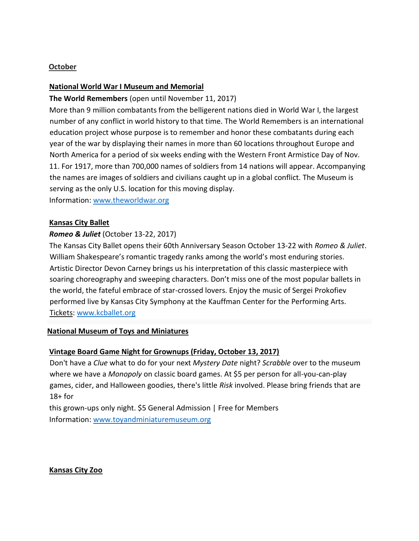# **October**

# **National World War I Museum and Memorial**

#### **The World Remembers** (open until November 11, 2017)

More than 9 million combatants from the belligerent nations died in World War I, the largest number of any conflict in world history to that time. The World Remembers is an international education project whose purpose is to remember and honor these combatants during each year of the war by displaying their names in more than 60 locations throughout Europe and North America for a period of six weeks ending with the Western Front Armistice Day of Nov. 11. For 1917, more than 700,000 names of soldiers from 14 nations will appear. Accompanying the names are images of soldiers and civilians caught up in a global conflict. The Museum is serving as the only U.S. location for this moving display.

Information: [www.theworldwar.org](http://www.theworldwar.org/)

# **Kansas City Ballet**

# *Romeo & Juliet* (October 13-22, 2017)

The Kansas City Ballet opens their 60th Anniversary Season October 13-22 with *Romeo & Juliet*. William Shakespeare's romantic tragedy ranks among the world's most enduring stories. Artistic Director Devon Carney brings us his interpretation of this classic masterpiece with soaring choreography and sweeping characters. Don't miss one of the most popular ballets in the world, the fateful embrace of star-crossed lovers. Enjoy the music of Sergei Prokofiev performed live by Kansas City Symphony at the Kauffman Center for the Performing Arts. Tickets: [www.kcballet.org](http://www.kcballet.org/)

#### **National Museum of Toys and Miniatures**

#### **Vintage Board Game Night for Grownups (Friday, October 13, 2017)**

Don't have a *Clue* what to do for your next *Mystery Date* night? *Scrabble* over to the museum where we have a *Monopoly* on classic board games. At \$5 per person for all-you-can-play games, cider, and Halloween goodies, there's little *Risk* involved. Please bring friends that are  $18+$  for

this grown-ups only night. \$5 General Admission | Free for Members Information: [www.toyandminiaturemuseum.org](http://www.toyandminiaturemuseum.org/)

**Kansas City Zoo**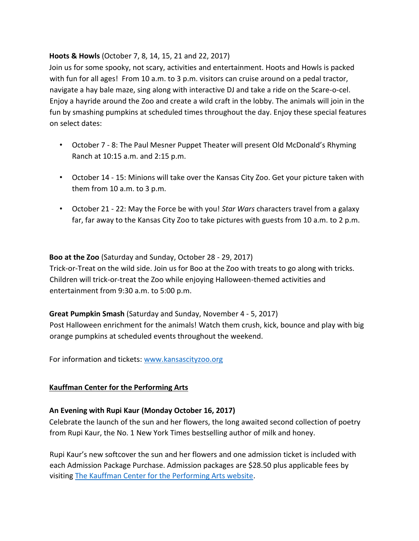# **Hoots & Howls** (October 7, 8, 14, 15, 21 and 22, 2017)

Join us for some spooky, not scary, activities and entertainment. Hoots and Howls is packed with fun for all ages! From 10 a.m. to 3 p.m. visitors can cruise around on a pedal tractor, navigate a hay bale maze, sing along with interactive DJ and take a ride on the Scare-o-cel. Enjoy a hayride around the Zoo and create a wild craft in the lobby. The animals will join in the fun by smashing pumpkins at scheduled times throughout the day. Enjoy these special features on select dates:

- October 7 8: The Paul Mesner Puppet Theater will present Old McDonald's Rhyming Ranch at 10:15 a.m. and 2:15 p.m.
- October 14 15: Minions will take over the Kansas City Zoo. Get your picture taken with them from 10 a.m. to 3 p.m.
- October 21 22: May the Force be with you! *Star Wars* characters travel from a galaxy far, far away to the Kansas City Zoo to take pictures with guests from 10 a.m. to 2 p.m.

**Boo at the Zoo** (Saturday and Sunday, October 28 - 29, 2017) Trick-or-Treat on the wild side. Join us for Boo at the Zoo with treats to go along with tricks. Children will trick-or-treat the Zoo while enjoying Halloween-themed activities and entertainment from 9:30 a.m. to 5:00 p.m.

**Great Pumpkin Smash** (Saturday and Sunday, November 4 - 5, 2017) Post Halloween enrichment for the animals! Watch them crush, kick, bounce and play with big orange pumpkins at scheduled events throughout the weekend.

For information and tickets: [www.kansascityzoo.org](http://www.kansascityzoo.org/)

# **Kauffman Center for the Performing Arts**

#### **An Evening with Rupi Kaur (Monday October 16, 2017)**

Celebrate the launch of the sun and her flowers, the long awaited second collection of poetry from Rupi Kaur, the No. 1 New York Times bestselling author of milk and honey.

Rupi Kaur's new softcover the sun and her flowers and one admission ticket is included with each Admission Package Purchase. Admission packages are \$28.50 plus applicable fees by visiting [The Kauffman Center for the Performing Arts website.](http://tickets.kauffmancenter.org/single/eventDetail.aspx?p=12966)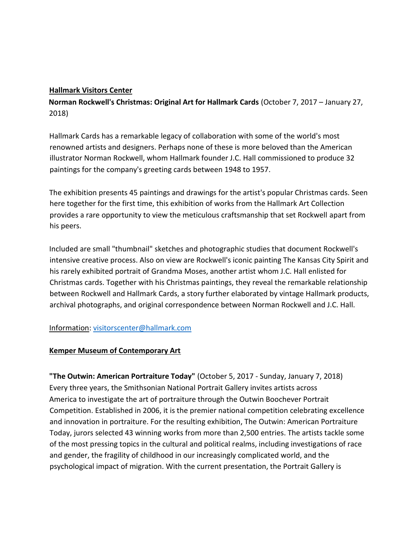#### **Hallmark Visitors Center**

**Norman Rockwell's Christmas: Original Art for Hallmark Cards** (October 7, 2017 – January 27, 2018)

Hallmark Cards has a remarkable legacy of collaboration with some of the world's most renowned artists and designers. Perhaps none of these is more beloved than the American illustrator Norman Rockwell, whom Hallmark founder J.C. Hall commissioned to produce 32 paintings for the company's greeting cards between 1948 to 1957.

The exhibition presents 45 paintings and drawings for the artist's popular Christmas cards. Seen here together for the first time, this exhibition of works from the Hallmark Art Collection provides a rare opportunity to view the meticulous craftsmanship that set Rockwell apart from his peers.

Included are small "thumbnail" sketches and photographic studies that document Rockwell's intensive creative process. Also on view are Rockwell's iconic painting The Kansas City Spirit and his rarely exhibited portrait of Grandma Moses, another artist whom J.C. Hall enlisted for Christmas cards. Together with his Christmas paintings, they reveal the remarkable relationship between Rockwell and Hallmark Cards, a story further elaborated by vintage Hallmark products, archival photographs, and original correspondence between Norman Rockwell and J.C. Hall.

# Information: visitorscenter@hallmark.com

# **Kemper Museum of Contemporary Art**

**"The Outwin: American Portraiture Today"** (October 5, 2017 - Sunday, January 7, 2018) Every three years, the Smithsonian National Portrait Gallery invites artists across America to investigate the art of portraiture through the Outwin Boochever Portrait Competition. Established in 2006, it is the premier national competition celebrating excellence and innovation in portraiture. For the resulting exhibition, The Outwin: American Portraiture Today, jurors selected 43 winning works from more than 2,500 entries. The artists tackle some of the most pressing topics in the cultural and political realms, including investigations of race and gender, the fragility of childhood in our increasingly complicated world, and the psychological impact of migration. With the current presentation, the Portrait Gallery is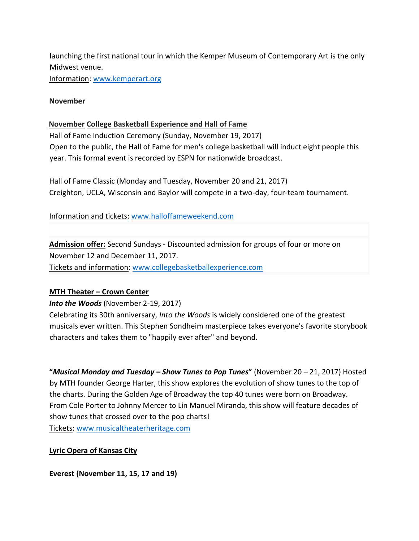launching the first national tour in which the Kemper Museum of Contemporary Art is the only Midwest venue.

Information: [www.kemperart.org](http://www.kemperart.org/)

#### **November**

#### **November College Basketball Experience and Hall of Fame**

Hall of Fame Induction Ceremony (Sunday, November 19, 2017) Open to the public, the Hall of Fame for men's college basketball will induct eight people this year. This formal event is recorded by ESPN for nationwide broadcast.

Hall of Fame Classic (Monday and Tuesday, November 20 and 21, 2017) Creighton, UCLA, Wisconsin and Baylor will compete in a two-day, four-team tournament.

Information and tickets: [www.halloffameweekend.com](http://www.halloffameweekend.com/landing/index)

**Admission offer:** Second Sundays - Discounted admission for groups of four or more on November 12 and December 11, 2017. Tickets and information: [www.collegebasketballexperience.com](http://www.collegebasketballexperience.com/)

#### **MTH Theater – Crown Center**

*Into the Woods* (November 2-19, 2017)

Celebrating its 30th anniversary, *Into the Woods* is widely considered one of the greatest musicals ever written. This Stephen Sondheim masterpiece takes everyone's favorite storybook characters and takes them to "happily ever after" and beyond.

**"***Musical Monday and Tuesday – Show Tunes to Pop Tunes***"** (November 20 – 21, 2017) Hosted by MTH founder George Harter, this show explores the evolution of show tunes to the top of the charts. During the Golden Age of Broadway the top 40 tunes were born on Broadway. From Cole Porter to Johnny Mercer to Lin Manuel Miranda, this show will feature decades of show tunes that crossed over to the pop charts!

Tickets[: www.musicaltheaterheritage.com](http://www.musicaltheaterheritage.com/)

#### **Lyric Opera of Kansas City**

**Everest (November 11, 15, 17 and 19)**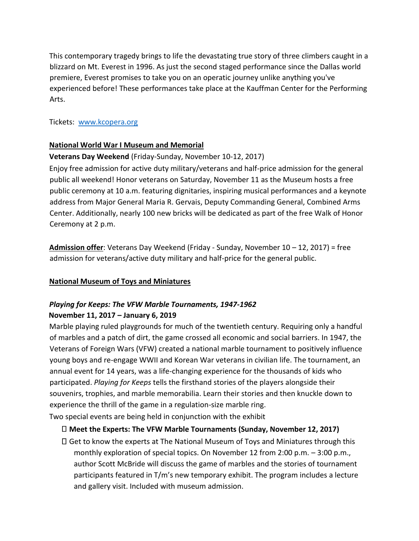This contemporary tragedy brings to life the devastating true story of three climbers caught in a blizzard on Mt. Everest in 1996. As just the second staged performance since the Dallas world premiere, Everest promises to take you on an operatic journey unlike anything you've experienced before! These performances take place at the Kauffman Center for the Performing Arts.

Tickets: [www.kcopera.org](http://www.kcopera.org/)

#### **National World War I Museum and Memorial**

# **Veterans Day Weekend** (Friday-Sunday, November 10-12, 2017)

Enjoy free admission for active duty military/veterans and half-price admission for the general public all weekend! Honor veterans on Saturday, November 11 as the Museum hosts a free public ceremony at 10 a.m. featuring dignitaries, inspiring musical performances and a keynote address from Major General Maria R. Gervais, Deputy Commanding General, Combined Arms Center. Additionally, nearly 100 new bricks will be dedicated as part of the free Walk of Honor Ceremony at 2 p.m.

**Admission offer**: Veterans Day Weekend (Friday - Sunday, November 10 – 12, 2017) = free admission for veterans/active duty military and half-price for the general public.

# **National Museum of Toys and Miniatures**

# *Playing for Keeps: The VFW Marble Tournaments, 1947-1962*  **November 11, 2017 – January 6, 2019**

Marble playing ruled playgrounds for much of the twentieth century. Requiring only a handful of marbles and a patch of dirt, the game crossed all economic and social barriers. In 1947, the Veterans of Foreign Wars (VFW) created a national marble tournament to positively influence young boys and re-engage WWII and Korean War veterans in civilian life. The tournament, an annual event for 14 years, was a life-changing experience for the thousands of kids who participated. *Playing for Keeps* tells the firsthand stories of the players alongside their souvenirs, trophies, and marble memorabilia. Learn their stories and then knuckle down to experience the thrill of the game in a regulation-size marble ring.

Two special events are being held in conjunction with the exhibit

# **Meet the Experts: The VFW Marble Tournaments (Sunday, November 12, 2017)**

Get to know the experts at The National Museum of Toys and Miniatures through this monthly exploration of special topics. On November 12 from 2:00 p.m. – 3:00 p.m., author Scott McBride will discuss the game of marbles and the stories of tournament participants featured in T/m's new temporary exhibit. The program includes a lecture and gallery visit. Included with museum admission.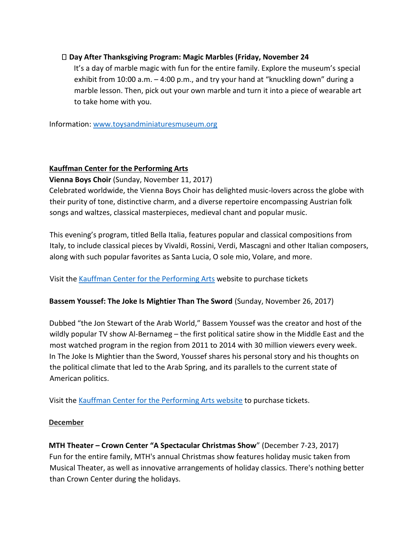# **Day After Thanksgiving Program: Magic Marbles (Friday, November 24**

It's a day of marble magic with fun for the entire family. Explore the museum's special exhibit from 10:00 a.m. – 4:00 p.m., and try your hand at "knuckling down" during a marble lesson. Then, pick out your own marble and turn it into a piece of wearable art to take home with you.

Information: [www.toysandminiaturesmuseum.org](http://www.toysandminiaturesmuseum.org/)

# **Kauffman Center for the Performing Arts**

# **Vienna Boys Choir** (Sunday, November 11, 2017)

Celebrated worldwide, the Vienna Boys Choir has delighted music-lovers across the globe with their purity of tone, distinctive charm, and a diverse repertoire encompassing Austrian folk songs and waltzes, classical masterpieces, medieval chant and popular music.

This evening's program, titled Bella Italia, features popular and classical compositions from Italy, to include classical pieces by Vivaldi, Rossini, Verdi, Mascagni and other Italian composers, along with such popular favorites as Santa Lucia, O sole mio, Volare, and more.

Visit the [Kauffman Center for the Performing Arts](http://tickets.kauffmancenter.org/single/eventDetail.aspx?p=12125) website to purchase tickets

#### **Bassem Youssef: The Joke Is Mightier Than The Sword** (Sunday, November 26, 2017)

Dubbed "the Jon Stewart of the Arab World," Bassem Youssef was the creator and host of the wildly popular TV show Al-Bernameg – the first political satire show in the Middle East and the most watched program in the region from 2011 to 2014 with 30 million viewers every week. In The Joke Is Mightier than the Sword, Youssef shares his personal story and his thoughts on the political climate that led to the Arab Spring, and its parallels to the current state of American politics.

Visit th[e Kauffman Center for the Performing Arts website](http://tickets.kauffmancenter.org/single/eventDetail.aspx?p=12949) to purchase tickets.

#### **December**

**MTH Theater – Crown Center "A Spectacular Christmas Show**" (December 7-23, 2017) Fun for the entire family, MTH's annual Christmas show features holiday music taken from Musical Theater, as well as innovative arrangements of holiday classics. There's nothing better than Crown Center during the holidays.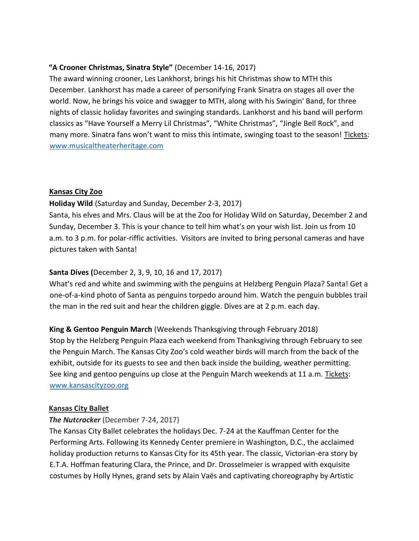# **"A Crooner Christmas, Sinatra Style"** (December 14-16, 2017)

The award winning crooner, Les Lankhorst, brings his hit Christmas show to MTH this December. Lankhorst has made a career of personifying Frank Sinatra on stages all over the world. Now, he brings his voice and swagger to MTH, along with his Swingin' Band, for three nights of classic holiday favorites and swinging standards. Lankhorst and his band will perform classics as "Have Yourself a Merry Lil Christmas", "White Christmas", "Jingle Bell Rock", and many more. Sinatra fans won't want to miss this intimate, swinging toast to the season! Tickets: [www.musicaltheaterheritage.com](http://www.musicaltheaterheritage.com/)

# **Kansas City Zoo**

# **Holiday Wild** (Saturday and Sunday, December 2-3, 2017)

Santa, his elves and Mrs. Claus will be at the Zoo for Holiday Wild on Saturday, December 2 and Sunday, December 3. This is your chance to tell him what's on your wish list. Join us from 10 a.m. to 3 p.m. for polar-riffic activities. Visitors are invited to bring personal cameras and have pictures taken with Santa!

# **Santa Dives (**December 2, 3, 9, 10, 16 and 17, 2017)

What's red and white and swimming with the penguins at Helzberg Penguin Plaza? Santa! Get a one-of-a-kind photo of Santa as penguins torpedo around him. Watch the penguin bubbles trail the man in the red suit and hear the children giggle. Dives are at 2 p.m. each day.

**King & Gentoo Penguin March** (Weekends Thanksgiving through February 2018) Stop by the Helzberg Penguin Plaza each weekend from Thanksgiving through February to see the Penguin March. The Kansas City Zoo's cold weather birds will march from the back of the exhibit, outside for its guests to see and then back inside the building, weather permitting. See king and gentoo penguins up close at the Penguin March weekends at 11 a.m. Tickets: [www.kansascityzoo.org](http://www.kansascityzoo.org/)

#### **Kansas City Ballet**

#### *The Nutcracker* (December 7-24, 2017)

The Kansas City Ballet celebrates the holidays Dec. 7-24 at the Kauffman Center for the Performing Arts. Following its Kennedy Center premiere in Washington, D.C., the acclaimed holiday production returns to Kansas City for its 45th year. The classic, Victorian-era story by E.T.A. Hoffman featuring Clara, the Prince, and Dr. Drosselmeier is wrapped with exquisite costumes by Holly Hynes, grand sets by Alain Vaës and captivating choreography by Artistic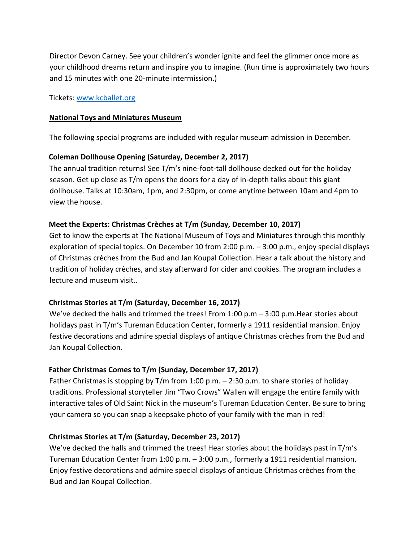Director Devon Carney. See your children's wonder ignite and feel the glimmer once more as your childhood dreams return and inspire you to imagine. (Run time is approximately two hours and 15 minutes with one 20-minute intermission.)

Tickets[: www.kcballet.org](http://www.kcballet.org/)

#### **National Toys and Miniatures Museum**

The following special programs are included with regular museum admission in December.

# **Coleman Dollhouse Opening (Saturday, December 2, 2017)**

The annual tradition returns! See T/m's nine-foot-tall dollhouse decked out for the holiday season. Get up close as T/m opens the doors for a day of in-depth talks about this giant dollhouse. Talks at 10:30am, 1pm, and 2:30pm, or come anytime between 10am and 4pm to view the house.

# **Meet the Experts: Christmas Crèches at T/m (Sunday, December 10, 2017)**

Get to know the experts at The National Museum of Toys and Miniatures through this monthly exploration of special topics. On December 10 from 2:00 p.m. – 3:00 p.m., enjoy special displays of Christmas crèches from the Bud and Jan Koupal Collection. Hear a talk about the history and tradition of holiday crèches, and stay afterward for cider and cookies. The program includes a lecture and museum visit..

# **Christmas Stories at T/m (Saturday, December 16, 2017)**

We've decked the halls and trimmed the trees! From 1:00 p.m – 3:00 p.m.Hear stories about holidays past in T/m's Tureman Education Center, formerly a 1911 residential mansion. Enjoy festive decorations and admire special displays of antique Christmas crèches from the Bud and Jan Koupal Collection.

# **Father Christmas Comes to T/m (Sunday, December 17, 2017)**

Father Christmas is stopping by  $T/m$  from 1:00 p.m. – 2:30 p.m. to share stories of holiday traditions. Professional storyteller Jim "Two Crows" Wallen will engage the entire family with interactive tales of Old Saint Nick in the museum's Tureman Education Center. Be sure to bring your camera so you can snap a keepsake photo of your family with the man in red!

# **Christmas Stories at T/m (Saturday, December 23, 2017)**

We've decked the halls and trimmed the trees! Hear stories about the holidays past in T/m's Tureman Education Center from 1:00 p.m. – 3:00 p.m., formerly a 1911 residential mansion. Enjoy festive decorations and admire special displays of antique Christmas crèches from the Bud and Jan Koupal Collection.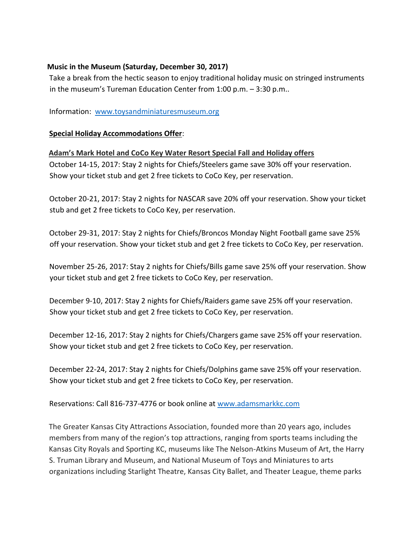# **Music in the Museum (Saturday, December 30, 2017)**

Take a break from the hectic season to enjoy traditional holiday music on stringed instruments in the museum's Tureman Education Center from 1:00 p.m. – 3:30 p.m..

Information: [www.toysandminiaturesmuseum.org](http://www.toysandminiaturesmuseum.org/)

# **Special Holiday Accommodations Offer**:

# **Adam's Mark Hotel and CoCo Key Water Resort Special Fall and Holiday offers**

October 14-15, 2017: Stay 2 nights for Chiefs/Steelers game save 30% off your reservation. Show your ticket stub and get 2 free tickets to CoCo Key, per reservation.

October 20-21, 2017: Stay 2 nights for NASCAR save 20% off your reservation. Show your ticket stub and get 2 free tickets to CoCo Key, per reservation.

October 29-31, 2017: Stay 2 nights for Chiefs/Broncos Monday Night Football game save 25% off your reservation. Show your ticket stub and get 2 free tickets to CoCo Key, per reservation.

November 25-26, 2017: Stay 2 nights for Chiefs/Bills game save 25% off your reservation. Show your ticket stub and get 2 free tickets to CoCo Key, per reservation.

December 9-10, 2017: Stay 2 nights for Chiefs/Raiders game save 25% off your reservation. Show your ticket stub and get 2 free tickets to CoCo Key, per reservation.

December 12-16, 2017: Stay 2 nights for Chiefs/Chargers game save 25% off your reservation. Show your ticket stub and get 2 free tickets to CoCo Key, per reservation.

December 22-24, 2017: Stay 2 nights for Chiefs/Dolphins game save 25% off your reservation. Show your ticket stub and get 2 free tickets to CoCo Key, per reservation.

Reservations: Call 816-737-4776 or book online a[t www.adamsmarkkc.com](http://www.adamsmarkkc.com/) 

The Greater Kansas City Attractions Association, founded more than 20 years ago, includes members from many of the region's top attractions, ranging from sports teams including the Kansas City Royals and Sporting KC, museums like The Nelson-Atkins Museum of Art, the Harry S. Truman Library and Museum, and National Museum of Toys and Miniatures to arts organizations including Starlight Theatre, Kansas City Ballet, and Theater League, theme parks